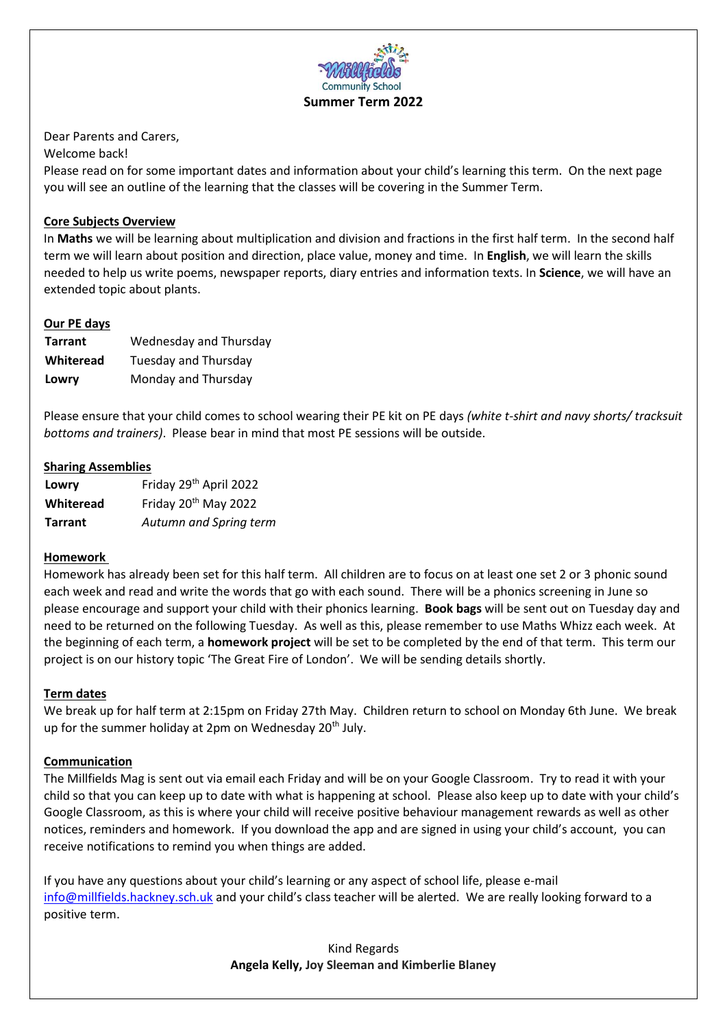

Dear Parents and Carers,

Welcome back!

Please read on for some important dates and information about your child's learning this term. On the next page you will see an outline of the learning that the classes will be covering in the Summer Term.

## **Core Subjects Overview**

In **Maths** we will be learning about multiplication and division and fractions in the first half term. In the second half term we will learn about position and direction, place value, money and time. In **English**, we will learn the skills needed to help us write poems, newspaper reports, diary entries and information texts. In **Science**, we will have an extended topic about plants.

### **Our PE days**

| <b>Tarrant</b> | Wednesday and Thursday |
|----------------|------------------------|
| Whiteread      | Tuesday and Thursday   |
| Lowry          | Monday and Thursday    |

Please ensure that your child comes to school wearing their PE kit on PE days *(white t-shirt and navy shorts/ tracksuit bottoms and trainers)*. Please bear in mind that most PE sessions will be outside.

### **Sharing Assemblies**

| Lowry          | Friday 29 <sup>th</sup> April 2022 |
|----------------|------------------------------------|
| Whiteread      | Friday 20 <sup>th</sup> May 2022   |
| <b>Tarrant</b> | Autumn and Spring term             |

### **Homework**

Homework has already been set for this half term. All children are to focus on at least one set 2 or 3 phonic sound each week and read and write the words that go with each sound. There will be a phonics screening in June so please encourage and support your child with their phonics learning. **Book bags** will be sent out on Tuesday day and need to be returned on the following Tuesday. As well as this, please remember to use Maths Whizz each week. At the beginning of each term, a **homework project** will be set to be completed by the end of that term. This term our project is on our history topic 'The Great Fire of London'. We will be sending details shortly.

### **Term dates**

We break up for half term at 2:15pm on Friday 27th May. Children return to school on Monday 6th June. We break up for the summer holiday at 2pm on Wednesday 20<sup>th</sup> July.

### **Communication**

The Millfields Mag is sent out via email each Friday and will be on your Google Classroom. Try to read it with your child so that you can keep up to date with what is happening at school. Please also keep up to date with your child's Google Classroom, as this is where your child will receive positive behaviour management rewards as well as other notices, reminders and homework. If you download the app and are signed in using your child's account, you can receive notifications to remind you when things are added.

If you have any questions about your child's learning or any aspect of school life, please e-mail [info@millfields.hackney.sch.uk](mailto:info@millfields.hackney.sch.uk) and your child's class teacher will be alerted. We are really looking forward to a positive term.

> Kind Regards **Angela Kelly, Joy Sleeman and Kimberlie Blaney**